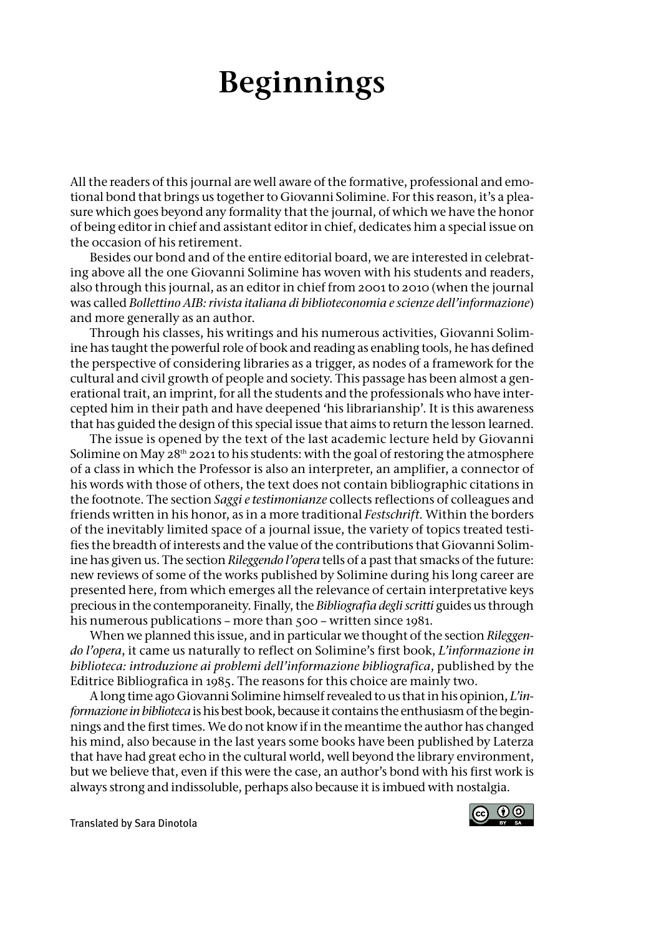## **Beginnings**

Allthe readers ofthis journal are well aware ofthe formative, professional and emotional bond that brings us together to Giovanni Solimine. For this reason, it's a pleasure which goes beyond any formality that the journal, of which we have the honor of being editorin chief and assistant editorin chief, dedicates him a special issue on the occasion of his retirement.

Besides our bond and of the entire editorial board, we are interested in celebrating above all the one Giovanni Solimine has woven with his students and readers, also through this journal, as an editorin chief from 2001 to 2010 (when the journal was called *Bollettino AIB: rivista italiana di biblioteconomia e scienze dell'informazione*) and more generally as an author.

Through his classes, his writings and his numerous activities, Giovanni Solimine has taught the powerful role of book and reading as enabling tools, he has defined the perspective of considering libraries as a trigger, as nodes of a framework for the cultural and civil growth of people and society. This passage has been almost a generational trait, an imprint, for all the students and the professionals who have intercepted him in their path and have deepened 'his librarianship'. It is this awareness that has guided the design of this special issue that aims to return the lesson learned.

The issue is opened by the text of the last academic lecture held by Giovanni Solimine on May  $28<sup>th</sup>$  2021 to his students: with the goal of restoring the atmosphere of a class in which the Professor is also an interpreter, an amplifier, a connector of his words with those of others, the text does not contain bibliographic citations in the footnote. The section *Saggi e testimonianze* collects reflections of colleagues and friends written in his honor, as in a more traditional *Festschrift*. Within the borders of the inevitably limited space of a journal issue, the variety of topics treated testifies the breadth of interests and the value of the contributions that Giovanni Solimine has given us. The section *Rileggendo l'opera* tells of a past that smacks of the future: new reviews of some of the works published by Solimine during his long career are presented here, from which emerges all the relevance of certain interpretative keys precious in the contemporaneity. Finally, the *Bibliografia degli scritti* guides us through his numerous publications – more than 500 – written since 1981.

When we planned this issue, and in particular we thought of the section *Rileggendo l'opera*, it came us naturally to reflect on Solimine's first book, *L'informazione in biblioteca: introduzione ai problemi dell'informazione bibliografica*, published by the Editrice Bibliografica in 1985. The reasons for this choice are mainly two.

Along time agoGiovanni Soliminehimselfrevealed to us thatinhis opinion, *L'informazione in biblioteca* ishis best book, because it contains the enthusiasmofthe beginnings and the first times. We do not know if in the meantime the author has changed his mind, also because in the last years some books have been published by Laterza that have had great echo in the cultural world, well beyond the library environment, but we believe that, even if this were the case, an author's bond with his first work is always strong and indissoluble, perhaps also because it is imbued with nostalgia.

Translated by Sara Dinotola